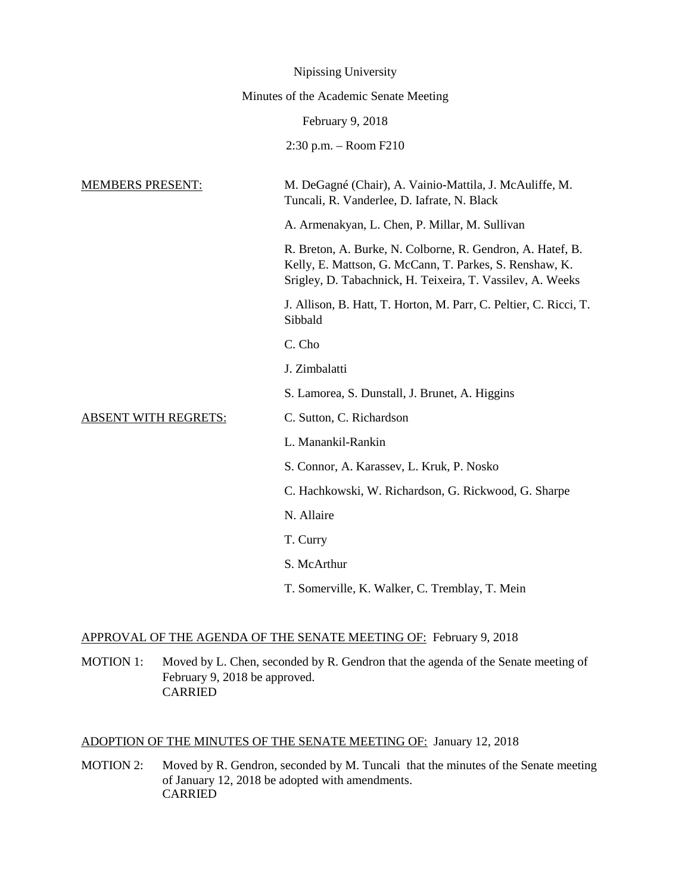|                             | Nipissing University                                                                                                                                                                |
|-----------------------------|-------------------------------------------------------------------------------------------------------------------------------------------------------------------------------------|
|                             | Minutes of the Academic Senate Meeting                                                                                                                                              |
|                             | February 9, 2018                                                                                                                                                                    |
|                             | $2:30$ p.m. $-$ Room F210                                                                                                                                                           |
| <b>MEMBERS PRESENT:</b>     | M. DeGagné (Chair), A. Vainio-Mattila, J. McAuliffe, M.<br>Tuncali, R. Vanderlee, D. Iafrate, N. Black                                                                              |
|                             | A. Armenakyan, L. Chen, P. Millar, M. Sullivan                                                                                                                                      |
|                             | R. Breton, A. Burke, N. Colborne, R. Gendron, A. Hatef, B.<br>Kelly, E. Mattson, G. McCann, T. Parkes, S. Renshaw, K.<br>Srigley, D. Tabachnick, H. Teixeira, T. Vassilev, A. Weeks |
|                             | J. Allison, B. Hatt, T. Horton, M. Parr, C. Peltier, C. Ricci, T.<br>Sibbald                                                                                                        |
|                             | C. Cho                                                                                                                                                                              |
|                             | J. Zimbalatti                                                                                                                                                                       |
|                             | S. Lamorea, S. Dunstall, J. Brunet, A. Higgins                                                                                                                                      |
| <b>ABSENT WITH REGRETS:</b> | C. Sutton, C. Richardson                                                                                                                                                            |
|                             | L. Manankil-Rankin                                                                                                                                                                  |
|                             | S. Connor, A. Karassev, L. Kruk, P. Nosko                                                                                                                                           |
|                             | C. Hachkowski, W. Richardson, G. Rickwood, G. Sharpe                                                                                                                                |
|                             | N. Allaire                                                                                                                                                                          |
|                             | T. Curry                                                                                                                                                                            |
|                             | S. McArthur                                                                                                                                                                         |
|                             | T. Somerville, K. Walker, C. Tremblay, T. Mein                                                                                                                                      |

## APPROVAL OF THE AGENDA OF THE SENATE MEETING OF: February 9, 2018

MOTION 1: Moved by L. Chen, seconded by R. Gendron that the agenda of the Senate meeting of February 9, 2018 be approved. CARRIED

# ADOPTION OF THE MINUTES OF THE SENATE MEETING OF: January 12, 2018

MOTION 2: Moved by R. Gendron, seconded by M. Tuncali that the minutes of the Senate meeting of January 12, 2018 be adopted with amendments. CARRIED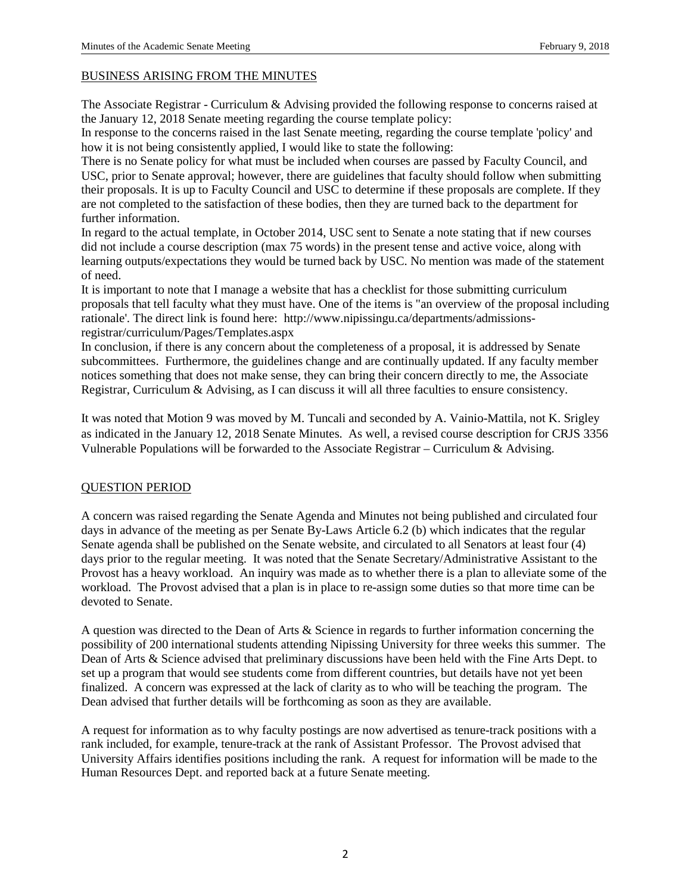### BUSINESS ARISING FROM THE MINUTES

The Associate Registrar - Curriculum & Advising provided the following response to concerns raised at the January 12, 2018 Senate meeting regarding the course template policy:

In response to the concerns raised in the last Senate meeting, regarding the course template 'policy' and how it is not being consistently applied, I would like to state the following:

There is no Senate policy for what must be included when courses are passed by Faculty Council, and USC, prior to Senate approval; however, there are guidelines that faculty should follow when submitting their proposals. It is up to Faculty Council and USC to determine if these proposals are complete. If they are not completed to the satisfaction of these bodies, then they are turned back to the department for further information.

In regard to the actual template, in October 2014, USC sent to Senate a note stating that if new courses did not include a course description (max 75 words) in the present tense and active voice, along with learning outputs/expectations they would be turned back by USC. No mention was made of the statement of need.

It is important to note that I manage a website that has a checklist for those submitting curriculum proposals that tell faculty what they must have. One of the items is "an overview of the proposal including rationale'. The direct link is found here: http://www.nipissingu.ca/departments/admissionsregistrar/curriculum/Pages/Templates.aspx

In conclusion, if there is any concern about the completeness of a proposal, it is addressed by Senate subcommittees. Furthermore, the guidelines change and are continually updated. If any faculty member notices something that does not make sense, they can bring their concern directly to me, the Associate Registrar, Curriculum & Advising, as I can discuss it will all three faculties to ensure consistency.

It was noted that Motion 9 was moved by M. Tuncali and seconded by A. Vainio-Mattila, not K. Srigley as indicated in the January 12, 2018 Senate Minutes. As well, a revised course description for CRJS 3356 Vulnerable Populations will be forwarded to the Associate Registrar – Curriculum & Advising.

## QUESTION PERIOD

A concern was raised regarding the Senate Agenda and Minutes not being published and circulated four days in advance of the meeting as per Senate By-Laws Article 6.2 (b) which indicates that the regular Senate agenda shall be published on the Senate website, and circulated to all Senators at least four (4) days prior to the regular meeting. It was noted that the Senate Secretary/Administrative Assistant to the Provost has a heavy workload. An inquiry was made as to whether there is a plan to alleviate some of the workload. The Provost advised that a plan is in place to re-assign some duties so that more time can be devoted to Senate.

A question was directed to the Dean of Arts & Science in regards to further information concerning the possibility of 200 international students attending Nipissing University for three weeks this summer. The Dean of Arts & Science advised that preliminary discussions have been held with the Fine Arts Dept. to set up a program that would see students come from different countries, but details have not yet been finalized. A concern was expressed at the lack of clarity as to who will be teaching the program. The Dean advised that further details will be forthcoming as soon as they are available.

A request for information as to why faculty postings are now advertised as tenure-track positions with a rank included, for example, tenure-track at the rank of Assistant Professor. The Provost advised that University Affairs identifies positions including the rank. A request for information will be made to the Human Resources Dept. and reported back at a future Senate meeting.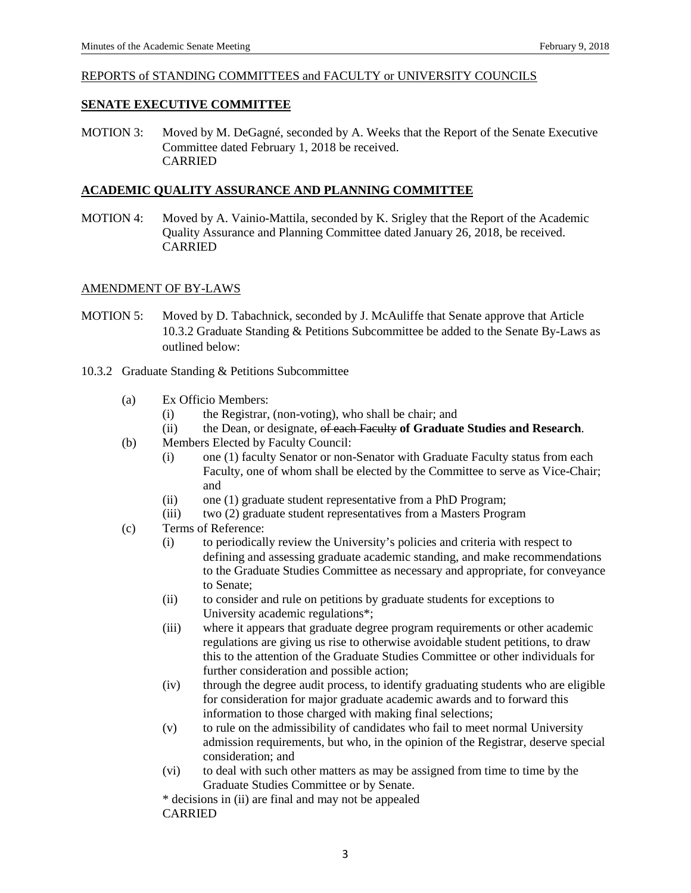### REPORTS of STANDING COMMITTEES and FACULTY or UNIVERSITY COUNCILS

### **SENATE EXECUTIVE COMMITTEE**

MOTION 3: Moved by M. DeGagné, seconded by A. Weeks that the Report of the Senate Executive Committee dated February 1, 2018 be received. CARRIED

### **ACADEMIC QUALITY ASSURANCE AND PLANNING COMMITTEE**

MOTION 4: Moved by A. Vainio-Mattila, seconded by K. Srigley that the Report of the Academic Quality Assurance and Planning Committee dated January 26, 2018, be received. CARRIED

### AMENDMENT OF BY-LAWS

- MOTION 5: Moved by D. Tabachnick, seconded by J. McAuliffe that Senate approve that Article 10.3.2 Graduate Standing & Petitions Subcommittee be added to the Senate By-Laws as outlined below:
- 10.3.2 Graduate Standing & Petitions Subcommittee
	- (a) Ex Officio Members:
		- (i) the Registrar, (non-voting), who shall be chair; and
		- (ii) the Dean, or designate, of each Faculty **of Graduate Studies and Research**.
	- (b) Members Elected by Faculty Council:
		- (i) one (1) faculty Senator or non-Senator with Graduate Faculty status from each Faculty, one of whom shall be elected by the Committee to serve as Vice-Chair; and
		- (ii) one (1) graduate student representative from a PhD Program;
		- (iii) two (2) graduate student representatives from a Masters Program
	- (c) Terms of Reference:
		- (i) to periodically review the University's policies and criteria with respect to defining and assessing graduate academic standing, and make recommendations to the Graduate Studies Committee as necessary and appropriate, for conveyance to Senate;
		- (ii) to consider and rule on petitions by graduate students for exceptions to University academic regulations\*;
		- (iii) where it appears that graduate degree program requirements or other academic regulations are giving us rise to otherwise avoidable student petitions, to draw this to the attention of the Graduate Studies Committee or other individuals for further consideration and possible action;
		- (iv) through the degree audit process, to identify graduating students who are eligible for consideration for major graduate academic awards and to forward this information to those charged with making final selections;
		- (v) to rule on the admissibility of candidates who fail to meet normal University admission requirements, but who, in the opinion of the Registrar, deserve special consideration; and
		- (vi) to deal with such other matters as may be assigned from time to time by the Graduate Studies Committee or by Senate.

\* decisions in (ii) are final and may not be appealed CARRIED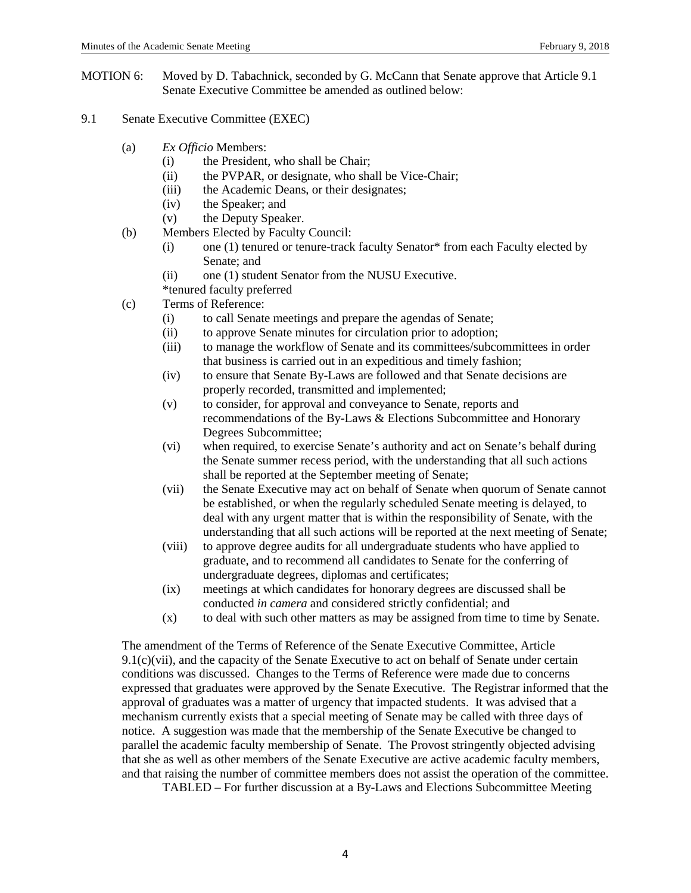- MOTION 6: Moved by D. Tabachnick, seconded by G. McCann that Senate approve that Article 9.1 Senate Executive Committee be amended as outlined below:
- 9.1 Senate Executive Committee (EXEC)
	- (a) *Ex Officio* Members:
		- (i) the President, who shall be Chair;
		- (ii) the PVPAR, or designate, who shall be Vice-Chair;
		- (iii) the Academic Deans, or their designates;
		- (iv) the Speaker; and
		- (v) the Deputy Speaker.
	- (b) Members Elected by Faculty Council:
		- (i) one (1) tenured or tenure-track faculty Senator\* from each Faculty elected by Senate; and
		- (ii) one (1) student Senator from the NUSU Executive.
		- \*tenured faculty preferred
	- (c) Terms of Reference:
		- (i) to call Senate meetings and prepare the agendas of Senate;
		- (ii) to approve Senate minutes for circulation prior to adoption;
		- (iii) to manage the workflow of Senate and its committees/subcommittees in order that business is carried out in an expeditious and timely fashion;
		- (iv) to ensure that Senate By-Laws are followed and that Senate decisions are properly recorded, transmitted and implemented;
		- (v) to consider, for approval and conveyance to Senate, reports and recommendations of the By-Laws & Elections Subcommittee and Honorary Degrees Subcommittee;
		- (vi) when required, to exercise Senate's authority and act on Senate's behalf during the Senate summer recess period, with the understanding that all such actions shall be reported at the September meeting of Senate;
		- (vii) the Senate Executive may act on behalf of Senate when quorum of Senate cannot be established, or when the regularly scheduled Senate meeting is delayed, to deal with any urgent matter that is within the responsibility of Senate, with the understanding that all such actions will be reported at the next meeting of Senate;
		- (viii) to approve degree audits for all undergraduate students who have applied to graduate, and to recommend all candidates to Senate for the conferring of undergraduate degrees, diplomas and certificates;
		- (ix) meetings at which candidates for honorary degrees are discussed shall be conducted *in camera* and considered strictly confidential; and
		- (x) to deal with such other matters as may be assigned from time to time by Senate.

The amendment of the Terms of Reference of the Senate Executive Committee, Article 9.1(c)(vii), and the capacity of the Senate Executive to act on behalf of Senate under certain conditions was discussed. Changes to the Terms of Reference were made due to concerns expressed that graduates were approved by the Senate Executive. The Registrar informed that the approval of graduates was a matter of urgency that impacted students. It was advised that a mechanism currently exists that a special meeting of Senate may be called with three days of notice. A suggestion was made that the membership of the Senate Executive be changed to parallel the academic faculty membership of Senate. The Provost stringently objected advising that she as well as other members of the Senate Executive are active academic faculty members, and that raising the number of committee members does not assist the operation of the committee.

TABLED – For further discussion at a By-Laws and Elections Subcommittee Meeting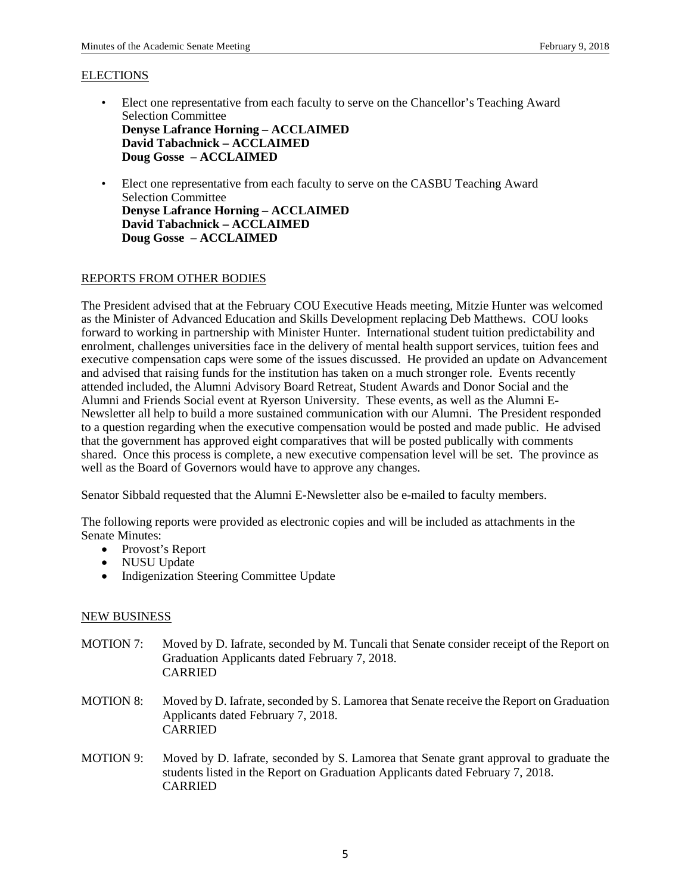#### **ELECTIONS**

- Elect one representative from each faculty to serve on the Chancellor's Teaching Award Selection Committee **Denyse Lafrance Horning – ACCLAIMED David Tabachnick – ACCLAIMED Doug Gosse – ACCLAIMED**
- Elect one representative from each faculty to serve on the CASBU Teaching Award Selection Committee **Denyse Lafrance Horning – ACCLAIMED David Tabachnick – ACCLAIMED Doug Gosse – ACCLAIMED**

### REPORTS FROM OTHER BODIES

The President advised that at the February COU Executive Heads meeting, Mitzie Hunter was welcomed as the Minister of Advanced Education and Skills Development replacing Deb Matthews. COU looks forward to working in partnership with Minister Hunter. International student tuition predictability and enrolment, challenges universities face in the delivery of mental health support services, tuition fees and executive compensation caps were some of the issues discussed. He provided an update on Advancement and advised that raising funds for the institution has taken on a much stronger role. Events recently attended included, the Alumni Advisory Board Retreat, Student Awards and Donor Social and the Alumni and Friends Social event at Ryerson University. These events, as well as the Alumni E-Newsletter all help to build a more sustained communication with our Alumni. The President responded to a question regarding when the executive compensation would be posted and made public. He advised that the government has approved eight comparatives that will be posted publically with comments shared. Once this process is complete, a new executive compensation level will be set. The province as well as the Board of Governors would have to approve any changes.

Senator Sibbald requested that the Alumni E-Newsletter also be e-mailed to faculty members.

The following reports were provided as electronic copies and will be included as attachments in the Senate Minutes:

- Provost's Report
- NUSU Update
- Indigenization Steering Committee Update

#### NEW BUSINESS

- MOTION 7: Moved by D. Iafrate, seconded by M. Tuncali that Senate consider receipt of the Report on Graduation Applicants dated February 7, 2018. CARRIED
- MOTION 8: Moved by D. Iafrate, seconded by S. Lamorea that Senate receive the Report on Graduation Applicants dated February 7, 2018. CARRIED
- MOTION 9: Moved by D. Iafrate, seconded by S. Lamorea that Senate grant approval to graduate the students listed in the Report on Graduation Applicants dated February 7, 2018. CARRIED